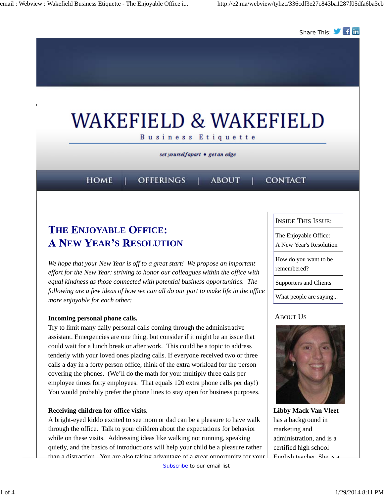

# **THE ENJOYABLE OFFICE: EXAMPLE A NEW YEAR'S RESOLUTION**

*We hope that your New Year is off to a great start! We propose an important effort for the New Year: striving to honor our colleagues within the office with equal kindness as those connected with potential business opportunities. The following are a few ideas of how we can all do our part to make life in the office more enjoyable for each other:*

#### **Incoming personal phone calls.**

Try to limit many daily personal calls coming through the administrative assistant. Emergencies are one thing, but consider if it might be an issue that could wait for a lunch break or after work. This could be a topic to address tenderly with your loved ones placing calls. If everyone received two or three calls a day in a forty person office, think of the extra workload for the person covering the phones. (We'll do the math for you: multiply three calls per employee times forty employees. That equals 120 extra phone calls per day!) You would probably prefer the phone lines to stay open for business purposes.

#### **Receiving children for office visits.**

A bright-eyed kiddo excited to see mom or dad can be a pleasure to have walk through the office. Talk to your children about the expectations for behavior while on these visits. Addressing ideas like walking not running, speaking quietly, and the basics of introductions will help your child be a pleasure rather than a distraction. You are also taking advantage of a great opportunity for your INSIDE THIS ISSUE:

The Enjoyable Office: A New Year's Resolution

How do you want to be

remembered?

Supporters and Clients

What people are saying...

### ABOUT US



**Libby Mack Van Vleet** has a background in marketing and administration, and is a certified high school English teacher. She is a

Subscribe to our email list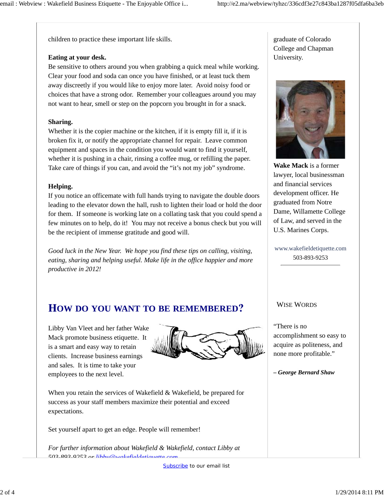children to practice these important life skills.

#### **Eating at your desk.**

Be sensitive to others around you when grabbing a quick meal while working. Clear your food and soda can once you have finished, or at least tuck them away discreetly if you would like to enjoy more later. Avoid noisy food or choices that have a strong odor. Remember your colleagues around you may not want to hear, smell or step on the popcorn you brought in for a snack.

#### **Sharing.**

Whether it is the copier machine or the kitchen, if it is empty fill it, if it is broken fix it, or notify the appropriate channel for repair. Leave common equipment and spaces in the condition you would want to find it yourself, whether it is pushing in a chair, rinsing a coffee mug, or refilling the paper. Take care of things if you can, and avoid the "it's not my job" syndrome.

#### **Helping.**

If you notice an officemate with full hands trying to navigate the double doors leading to the elevator down the hall, rush to lighten their load or hold the door for them. If someone is working late on a collating task that you could spend a few minutes on to help, do it! You may not receive a bonus check but you will be the recipient of immense gratitude and good will.

*Good luck in the New Year. We hope you find these tips on calling, visiting, eating, sharing and helping useful. Make life in the office happier and more productive in 2012!*

## **OW DO YOU WANT TO BE REMEMBERED**

Libby Van Vleet and her father Wake Mack promote business etiquette. It is a smart and easy way to retain clients. Increase business earnings and sales. It is time to take your employees to the next level.



When you retain the services of Wakefield & Wakefield, be prepared for success as your staff members maximize their potential and exceed expectations.

Set yourself apart to get an edge. People will remember!

*For further information about Wakefield & Wakefield, contact Libby at 503-893-9253 or libby@wakefieldetiquette.com.*

graduate of Colorado College and Chapman University.



**Wake Mack** is a former lawyer, local businessman and financial services development officer. He graduated from Notre Dame, Willamette College of Law, and served in the U.S. Marines Corps.

www.wakefieldetiquette.com 503-893-9253

#### WISE WORDS

"There is no accomplishment so easy to acquire as politeness, and none more profitable."

*– George Bernard Shaw*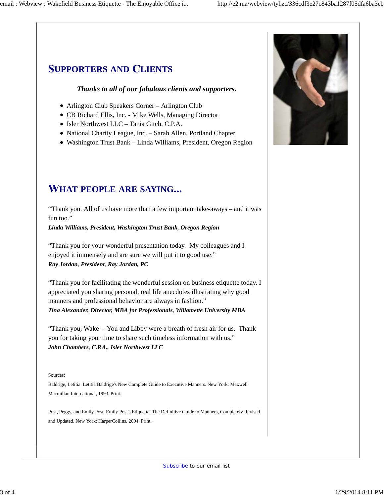### **UPPORTERS AND LIENTS**

#### *Thanks to all of our fabulous clients and supporters.*

- Arlington Club Speakers Corner Arlington Club
- CB Richard Ellis, Inc. Mike Wells, Managing Director
- Isler Northwest LLC Tania Gitch, C.P.A.
- National Charity League, Inc. Sarah Allen, Portland Chapter
- Washington Trust Bank Linda Williams, President, Oregon Region



"Thank you. All of us have more than a few important take-aways – and it was fun too."

*Linda Williams, President, Washington Trust Bank, Oregon Region*

"Thank you for your wonderful presentation today. My colleagues and I enjoyed it immensely and are sure we will put it to good use." *Ray Jordan, President, Ray Jordan, PC*

"Thank you for facilitating the wonderful session on business etiquette today. I appreciated you sharing personal, real life anecdotes illustrating why good manners and professional behavior are always in fashion." *Tina Alexander, Director, MBA for Professionals, Willamette University MBA*

"Thank you, Wake -- You and Libby were a breath of fresh air for us. Thank you for taking your time to share such timeless information with us." *John Chambers, C.P.A., Isler Northwest LLC*

#### Sources:

Baldrige, Letitia. Letitia Baldrige's New Complete Guide to Executive Manners. New York: Maxwell Macmillan International, 1993. Print.

Post, Peggy, and Emily Post. Emily Post's Etiquette: The Definitive Guide to Manners, Completely Revised and Updated. New York: HarperCollins, 2004. Print.